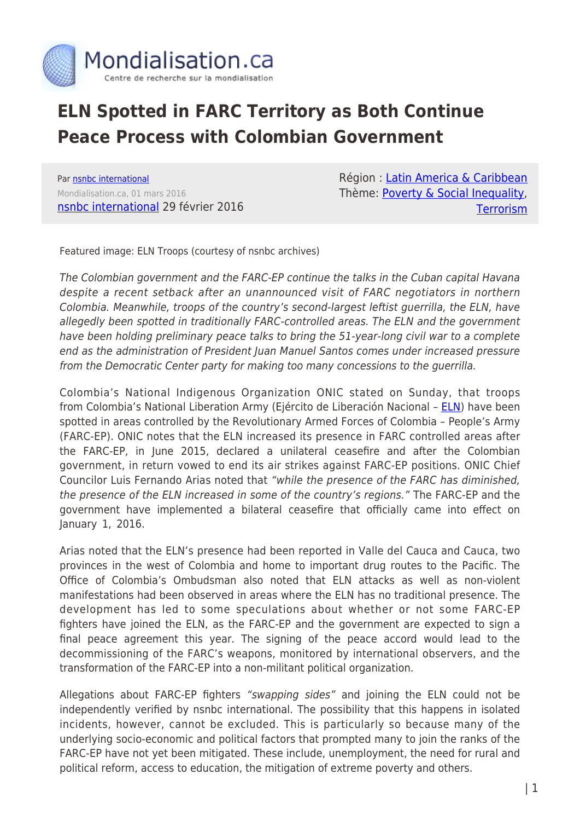

## **ELN Spotted in FARC Territory as Both Continue Peace Process with Colombian Government**

Par [nsnbc international](https://www.mondialisation.ca/author/nsnbc-international) Mondialisation.ca, 01 mars 2016 [nsnbc international](http://nsnbc.me/2016/02/29/eln-spotted-in-farc-territory-as-both-continue-peace-process-with-colombian-government/) 29 février 2016 Région : [Latin America & Caribbean](https://www.mondialisation.ca/region/latin-america-caribbean) Thème: [Poverty & Social Inequality](https://www.mondialisation.ca/theme/poverty-social-inequality), **[Terrorism](https://www.mondialisation.ca/theme/9-11-war-on-terrorism)** 

Featured image: ELN Troops (courtesy of nsnbc archives)

The Colombian government and the FARC-EP continue the talks in the Cuban capital Havana despite a recent setback after an unannounced visit of FARC negotiators in northern Colombia. Meanwhile, troops of the country's second-largest leftist guerrilla, the ELN, have allegedly been spotted in traditionally FARC-controlled areas. The ELN and the government have been holding preliminary peace talks to bring the 51-year-long civil war to a complete end as the administration of President Juan Manuel Santos comes under increased pressure from the Democratic Center party for making too many concessions to the guerrilla.

Colombia's National Indigenous Organization ONIC stated on Sunday, that troops from Colombia's National Liberation Army (Ejército de Liberación Nacional – [ELN\)](http://nsnbc.me/?s=eln) have been spotted in areas controlled by the Revolutionary Armed Forces of Colombia – People's Army (FARC-EP). ONIC notes that the ELN increased its presence in FARC controlled areas after the FARC-EP, in June 2015, declared a unilateral ceasefire and after the Colombian government, in return vowed to end its air strikes against FARC-EP positions. ONIC Chief Councilor Luis Fernando Arias noted that "while the presence of the FARC has diminished, the presence of the ELN increased in some of the country's regions." The FARC-EP and the government have implemented a bilateral ceasefire that officially came into effect on January 1, 2016.

Arias noted that the ELN's presence had been reported in Valle del Cauca and Cauca, two provinces in the west of Colombia and home to important drug routes to the Pacific. The Office of Colombia's Ombudsman also noted that ELN attacks as well as non-violent manifestations had been observed in areas where the ELN has no traditional presence. The development has led to some speculations about whether or not some FARC-EP fighters have joined the ELN, as the FARC-EP and the government are expected to sign a final peace agreement this year. The signing of the peace accord would lead to the decommissioning of the FARC's weapons, monitored by international observers, and the transformation of the FARC-EP into a non-militant political organization.

Allegations about FARC-EP fighters "swapping sides" and joining the ELN could not be independently verified by nsnbc international. The possibility that this happens in isolated incidents, however, cannot be excluded. This is particularly so because many of the underlying socio-economic and political factors that prompted many to join the ranks of the FARC-EP have not yet been mitigated. These include, unemployment, the need for rural and political reform, access to education, the mitigation of extreme poverty and others.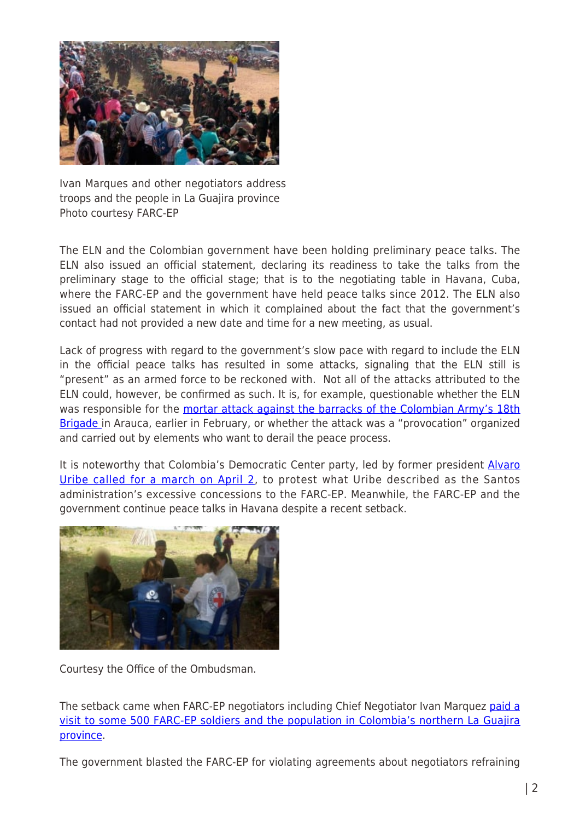

Ivan Marques and other negotiators address troops and the people in La Guajira province Photo courtesy FARC-EP

The ELN and the Colombian government have been holding preliminary peace talks. The ELN also issued an official statement, declaring its readiness to take the talks from the preliminary stage to the official stage; that is to the negotiating table in Havana, Cuba, where the FARC-EP and the government have held peace talks since 2012. The ELN also issued an official statement in which it complained about the fact that the government's contact had not provided a new date and time for a new meeting, as usual.

Lack of progress with regard to the government's slow pace with regard to include the ELN in the official peace talks has resulted in some attacks, signaling that the ELN still is "present" as an armed force to be reckoned with. Not all of the attacks attributed to the ELN could, however, be confirmed as such. It is, for example, questionable whether the ELN was responsible for the [mortar attack against the barracks of the Colombian Army's 18th](http://nsnbc.me/2016/02/11/eln-did-not-confirm-alleged-attack-on-army-base-in-colombia/) [Brigade](http://nsnbc.me/2016/02/11/eln-did-not-confirm-alleged-attack-on-army-base-in-colombia/) in Arauca, earlier in February, or whether the attack was a "provocation" organized and carried out by elements who want to derail the peace process.

It is noteworthy that Colombia's Democratic Center party, led by former president [Alvaro](http://nsnbc.me/2016/02/23/uribe-and-opposition-to-sabotage-colombian-peace-process/) [Uribe called for a march on April 2,](http://nsnbc.me/2016/02/23/uribe-and-opposition-to-sabotage-colombian-peace-process/) to protest what Uribe described as the Santos administration's excessive concessions to the FARC-EP. Meanwhile, the FARC-EP and the government continue peace talks in Havana despite a recent setback.



Courtesy the Office of the Ombudsman.

The setback came when FARC-EP negotiators including Chief Negotiator Ivan Marquez [paid a](http://nsnbc.me/tag/colombia/) [visit to some 500 FARC-EP soldiers and the population in Colombia's northern La Guajira](http://nsnbc.me/tag/colombia/) [province](http://nsnbc.me/tag/colombia/).

The government blasted the FARC-EP for violating agreements about negotiators refraining